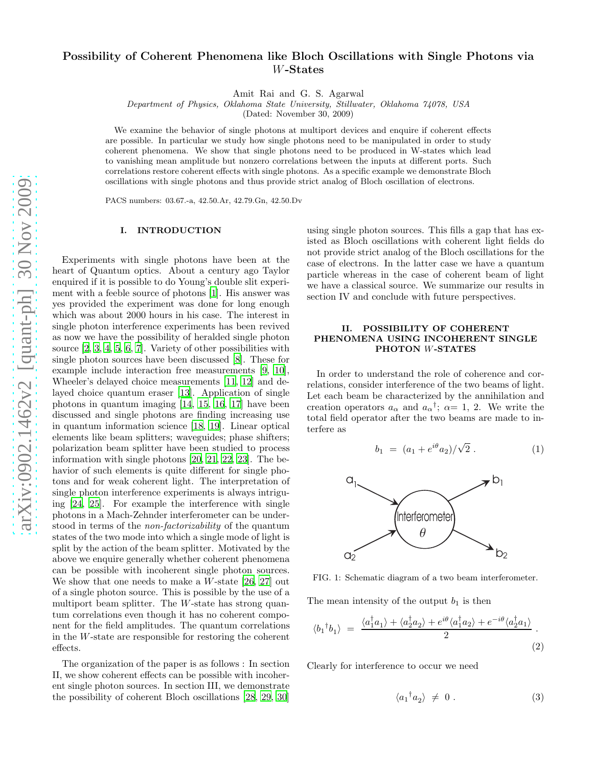# Possibility of Coherent Phenomena like Bloch Oscillations with Single Photons via W-States

Amit Rai and G. S. Agarwal

Department of Physics, Oklahoma State University, Stillwater, Oklahoma 74078, USA

(Dated: November 30, 2009)

We examine the behavior of single photons at multiport devices and enquire if coherent effects are possible. In particular we study how single photons need to be manipulated in order to study coherent phenomena. We show that single photons need to be produced in W-states which lead to vanishing mean amplitude but nonzero correlations between the inputs at different ports. Such correlations restore coherent effects with single photons. As a specific example we demonstrate Bloch oscillations with single photons and thus provide strict analog of Bloch oscillation of electrons.

PACS numbers: 03.67.-a, 42.50.Ar, 42.79.Gn, 42.50.Dv

### I. INTRODUCTION

Experiments with single photons have been at the heart of Quantum optics. About a century ago Taylor enquired if it is possible to do Young's double slit experiment with a feeble source of photons [\[1](#page-5-0)]. His answer was yes provided the experiment was done for long enough which was about 2000 hours in his case. The interest in single photon interference experiments has been revived as now we have the possibility of heralded single photon source [\[2,](#page-5-1) [3,](#page-5-2) [4](#page-5-3), [5](#page-5-4), [6,](#page-5-5) [7\]](#page-5-6). Variety of other possibilities with single photon sources have been discussed [\[8](#page-5-7)]. These for example include interaction free measurements [\[9,](#page-5-8) [10\]](#page-5-9), Wheeler's delayed choice measurements [\[11,](#page-5-10) [12\]](#page-5-11) and delayed choice quantum eraser [\[13\]](#page-5-12). Application of single photons in quantum imaging [\[14](#page-5-13), [15](#page-5-14), [16,](#page-5-15) [17\]](#page-5-16) have been discussed and single photons are finding increasing use in quantum information science [\[18,](#page-5-17) [19\]](#page-5-18). Linear optical elements like beam splitters; waveguides; phase shifters; polarization beam splitter have been studied to process information with single photons [\[20,](#page-5-19) [21,](#page-5-20) [22,](#page-5-21) [23](#page-5-22)]. The behavior of such elements is quite different for single photons and for weak coherent light. The interpretation of single photon interference experiments is always intriguing [\[24,](#page-5-23) [25\]](#page-5-24). For example the interference with single photons in a Mach-Zehnder interferometer can be understood in terms of the non-factorizability of the quantum states of the two mode into which a single mode of light is split by the action of the beam splitter. Motivated by the above we enquire generally whether coherent phenomena can be possible with incoherent single photon sources. We show that one needs to make a W-state [\[26](#page-5-25), [27\]](#page-5-26) out of a single photon source. This is possible by the use of a multiport beam splitter. The  $W$ -state has strong quantum correlations even though it has no coherent component for the field amplitudes. The quantum correlations in the W-state are responsible for restoring the coherent effects.

The organization of the paper is as follows : In section II, we show coherent effects can be possible with incoherent single photon sources. In section III, we demonstrate the possibility of coherent Bloch oscillations [\[28,](#page-5-27) [29,](#page-5-28) [30](#page-5-29)]

using single photon sources. This fills a gap that has existed as Bloch oscillations with coherent light fields do not provide strict analog of the Bloch oscillations for the case of electrons. In the latter case we have a quantum particle whereas in the case of coherent beam of light we have a classical source. We summarize our results in section IV and conclude with future perspectives.

## II. POSSIBILITY OF COHERENT PHENOMENA USING INCOHERENT SINGLE PHOTON W-STATES

In order to understand the role of coherence and correlations, consider interference of the two beams of light. Let each beam be characterized by the annihilation and creation operators  $a_{\alpha}$  and  $a_{\alpha}^{\dagger}$ ;  $\alpha=1, 2$ . We write the total field operator after the two beams are made to interfere as

$$
b_1 = (a_1 + e^{i\theta} a_2) / \sqrt{2} . \tag{1}
$$



FIG. 1: Schematic diagram of a two beam interferometer.

The mean intensity of the output  $b_1$  is then

$$
\langle b_1^{\dagger} b_1 \rangle = \frac{\langle a_1^{\dagger} a_1 \rangle + \langle a_2^{\dagger} a_2 \rangle + e^{i\theta} \langle a_1^{\dagger} a_2 \rangle + e^{-i\theta} \langle a_2^{\dagger} a_1 \rangle}{2}.
$$
\n(2)

Clearly for interference to occur we need

$$
\langle a_1^{\dagger} a_2 \rangle \neq 0. \tag{3}
$$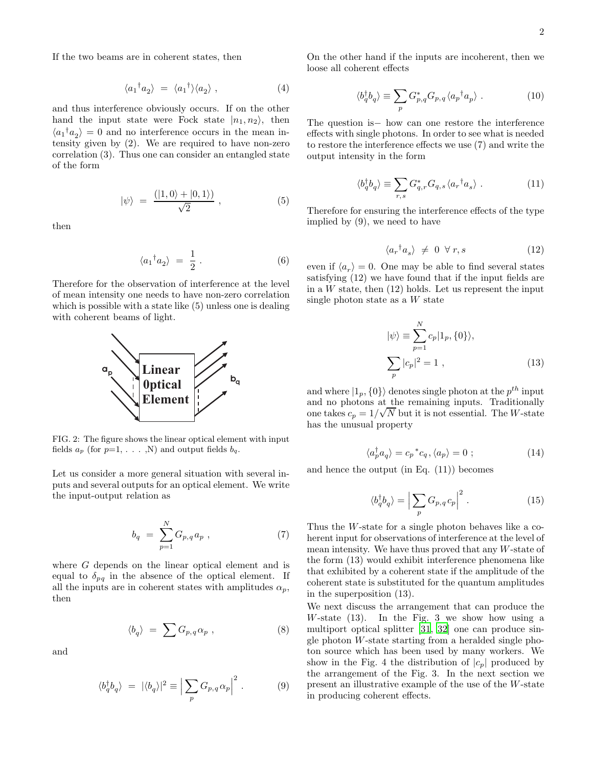If the two beams are in coherent states, then

$$
\langle a_1^{\dagger} a_2 \rangle = \langle a_1^{\dagger} \rangle \langle a_2 \rangle , \qquad (4)
$$

and thus interference obviously occurs. If on the other hand the input state were Fock state  $|n_1, n_2\rangle$ , then  $\langle a_1^{\dagger} a_2 \rangle = 0$  and no interference occurs in the mean intensity given by (2). We are required to have non-zero correlation (3). Thus one can consider an entangled state of the form

$$
|\psi\rangle = \frac{(|1,0\rangle + |0,1\rangle)}{\sqrt{2}}, \qquad (5)
$$

then

$$
\langle a_1^{\dagger} a_2 \rangle = \frac{1}{2} . \tag{6}
$$

Therefore for the observation of interference at the level of mean intensity one needs to have non-zero correlation which is possible with a state like  $(5)$  unless one is dealing with coherent beams of light.



FIG. 2: The figure shows the linear optical element with input fields  $a_p$  (for  $p=1, \ldots, N$ ) and output fields  $b_q$ .

Let us consider a more general situation with several inputs and several outputs for an optical element. We write the input-output relation as

$$
b_q = \sum_{p=1}^{N} G_{p,q} a_p , \qquad (7)
$$

where G depends on the linear optical element and is equal to  $\delta_{pq}$  in the absence of the optical element. If all the inputs are in coherent states with amplitudes  $\alpha_p$ , then

$$
\langle b_q \rangle \ = \ \sum G_{p,q} \alpha_p \ , \tag{8}
$$

and

$$
\langle b_q^{\dagger} b_q \rangle = |\langle b_q \rangle|^2 \equiv \left| \sum_p G_{p,q} \alpha_p \right|^2. \tag{9}
$$

On the other hand if the inputs are incoherent, then we loose all coherent effects

$$
\langle b_q^{\dagger} b_q \rangle \equiv \sum_p G_{p,q}^* G_{p,q} \langle a_p^{\dagger} a_p \rangle . \tag{10}
$$

The question is− how can one restore the interference effects with single photons. In order to see what is needed to restore the interference effects we use (7) and write the output intensity in the form

$$
\langle b_q^\dagger b_q \rangle \equiv \sum_{r,s} G_{q,r}^* G_{q,s} \langle a_r^\dagger a_s \rangle . \tag{11}
$$

Therefore for ensuring the interference effects of the type implied by (9), we need to have

$$
\langle a_r^{\dagger} a_s \rangle \neq 0 \ \forall \, r, s \tag{12}
$$

even if  $\langle a_r \rangle = 0$ . One may be able to find several states satisfying (12) we have found that if the input fields are in a  $W$  state, then  $(12)$  holds. Let us represent the input single photon state as a W state

$$
|\psi\rangle \equiv \sum_{p=1}^{N} c_p |1_p, \{0\}\rangle,
$$
  

$$
\sum_{p} |c_p|^2 = 1,
$$
 (13)

and where  $|1_p, \{0\}\rangle$  denotes single photon at the  $p^{th}$  input and no photons at the remaining inputs. Traditionally one takes  $c_p = 1/\sqrt{N}$  but it is not essential. The W-state has the unusual property

$$
\langle a_p^{\dagger} a_q \rangle = c_p^{\ast} c_q, \langle a_p \rangle = 0 \; ; \tag{14}
$$

and hence the output (in Eq. (11)) becomes

$$
\langle b_q^\dagger b_q \rangle = \left| \sum_p G_{p,q} c_p \right|^2. \tag{15}
$$

Thus the W-state for a single photon behaves like a coherent input for observations of interference at the level of mean intensity. We have thus proved that any  $W$ -state of the form (13) would exhibit interference phenomena like that exhibited by a coherent state if the amplitude of the coherent state is substituted for the quantum amplitudes in the superposition (13).

We next discuss the arrangement that can produce the W-state  $(13)$ . In the Fig. 3 we show how using a multiport optical splitter [\[31,](#page-5-30) [32](#page-5-31)] one can produce single photon  $W$ -state starting from a heralded single photon source which has been used by many workers. We show in the Fig. 4 the distribution of  $|c_p|$  produced by the arrangement of the Fig. 3. In the next section we present an illustrative example of the use of the W-state in producing coherent effects.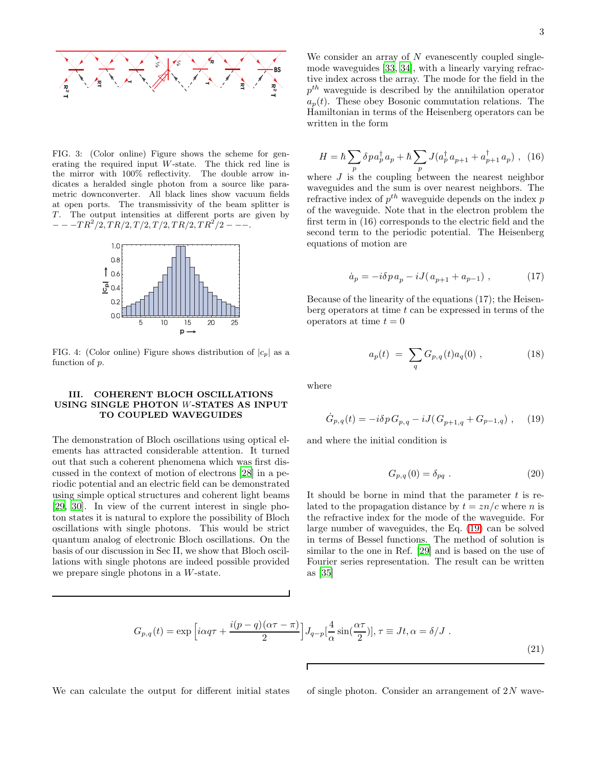

FIG. 3: (Color online) Figure shows the scheme for generating the required input W-state. The thick red line is the mirror with 100% reflectivity. The double arrow indicates a heralded single photon from a source like parametric downconverter. All black lines show vacuum fields at open ports. The transmissivity of the beam splitter is T. The output intensities at different ports are given by  $---TR^2/2, TR/2, T/2, T/2, TR/2, TR^2/2---$ 



FIG. 4: (Color online) Figure shows distribution of  $|c_p|$  as a function of p.

## III. COHERENT BLOCH OSCILLATIONS USING SINGLE PHOTON W-STATES AS INPUT TO COUPLED WAVEGUIDES

The demonstration of Bloch oscillations using optical elements has attracted considerable attention. It turned out that such a coherent phenomena which was first discussed in the context of motion of electrons [\[28\]](#page-5-27) in a periodic potential and an electric field can be demonstrated using simple optical structures and coherent light beams [\[29,](#page-5-28) [30](#page-5-29)]. In view of the current interest in single photon states it is natural to explore the possibility of Bloch oscillations with single photons. This would be strict quantum analog of electronic Bloch oscillations. On the basis of our discussion in Sec II, we show that Bloch oscillations with single photons are indeed possible provided we prepare single photons in a W-state.

We consider an array of  $N$  evanescently coupled singlemode waveguides [\[33,](#page-5-32) [34\]](#page-5-33), with a linearly varying refractive index across the array. The mode for the field in the  $p^{th}$  waveguide is described by the annihilation operator  $a_p(t)$ . These obey Bosonic commutation relations. The Hamiltonian in terms of the Heisenberg operators can be written in the form

$$
H = \hbar \sum_{p} \delta p a_p^{\dagger} a_p + \hbar \sum_{p} J(a_p^{\dagger} a_{p+1} + a_{p+1}^{\dagger} a_p) , \tag{16}
$$

where  $J$  is the coupling between the nearest neighbor waveguides and the sum is over nearest neighbors. The refractive index of  $p^{th}$  waveguide depends on the index  $p$ of the waveguide. Note that in the electron problem the first term in (16) corresponds to the electric field and the second term to the periodic potential. The Heisenberg equations of motion are

$$
\dot{a}_p = -i\delta p a_p - iJ(a_{p+1} + a_{p-1}), \qquad (17)
$$

Because of the linearity of the equations (17); the Heisenberg operators at time  $t$  can be expressed in terms of the operators at time  $t = 0$ 

$$
a_p(t) = \sum_q G_{p,q}(t) a_q(0) , \qquad (18)
$$

where

<span id="page-2-0"></span>
$$
\dot{G}_{p,q}(t) = -i\delta p \, G_{p,q} - iJ \left( G_{p+1,q} + G_{p-1,q} \right) \,, \tag{19}
$$

and where the initial condition is

$$
G_{p,q}(0) = \delta_{pq} . \tag{20}
$$

It should be borne in mind that the parameter  $t$  is related to the propagation distance by  $t = zn/c$  where n is the refractive index for the mode of the waveguide. For large number of waveguides, the Eq. [\(19\)](#page-2-0) can be solved in terms of Bessel functions. The method of solution is similar to the one in Ref. [\[29](#page-5-28)] and is based on the use of Fourier series representation. The result can be written as [\[35](#page-5-34)]

$$
G_{p,q}(t) = \exp\left[i\alpha q \tau + \frac{i(p-q)(\alpha \tau - \pi)}{2}\right]J_{q-p}[\frac{4}{\alpha}\sin(\frac{\alpha \tau}{2})], \tau \equiv Jt, \alpha = \delta/J.
$$
\n(21)

We can calculate the output for different initial states of single photon. Consider an arrangement of  $2N$  wave-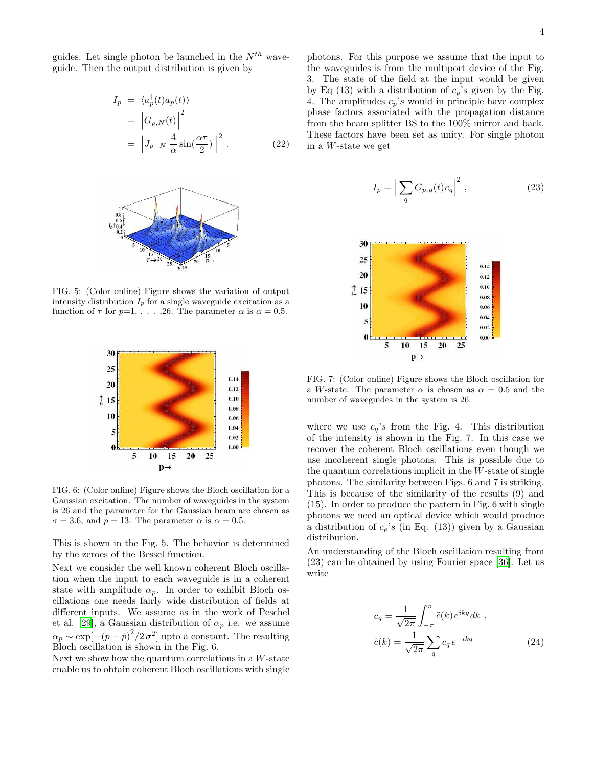guides. Let single photon be launched in the  $N^{th}$  waveguide. Then the output distribution is given by

$$
I_p = \langle a_p^{\dagger}(t)a_p(t) \rangle
$$
  
=  $\left| G_{p,N}(t) \right|^2$   
=  $\left| J_{p-N} \left[ \frac{4}{\alpha} \sin(\frac{\alpha \tau}{2}) \right] \right|^2$ . (22)



FIG. 5: (Color online) Figure shows the variation of output intensity distribution  $I_p$  for a single waveguide excitation as a function of  $\tau$  for  $p=1, \ldots, 26$ . The parameter  $\alpha$  is  $\alpha = 0.5$ .



FIG. 6: (Color online) Figure shows the Bloch oscillation for a Gaussian excitation. The number of waveguides in the system is 26 and the parameter for the Gaussian beam are chosen as  $\sigma = 3.6$ , and  $\bar{p} = 13$ . The parameter  $\alpha$  is  $\alpha = 0.5$ .

This is shown in the Fig. 5. The behavior is determined by the zeroes of the Bessel function.

Next we consider the well known coherent Bloch oscillation when the input to each waveguide is in a coherent state with amplitude  $\alpha_p$ . In order to exhibit Bloch oscillations one needs fairly wide distribution of fields at different inputs. We assume as in the work of Peschel et al. [\[29](#page-5-28)], a Gaussian distribution of  $\alpha_p$  i.e. we assume  $\alpha_p \sim \exp[-(p-\bar{p})^2/2\sigma^2]$  upto a constant. The resulting Bloch oscillation is shown in the Fig. 6.

Next we show how the quantum correlations in a  $W$ -state enable us to obtain coherent Bloch oscillations with single

photons. For this purpose we assume that the input to the waveguides is from the multiport device of the Fig. 3. The state of the field at the input would be given by Eq (13) with a distribution of  $c_p$ 's given by the Fig. 4. The amplitudes  $c_p$ 's would in principle have complex phase factors associated with the propagation distance from the beam splitter BS to the 100% mirror and back. These factors have been set as unity. For single photon in a W-state we get

$$
I_p = \left| \sum_q G_{p,q}(t) c_q \right|^2, \qquad (23)
$$



FIG. 7: (Color online) Figure shows the Bloch oscillation for a W-state. The parameter  $\alpha$  is chosen as  $\alpha = 0.5$  and the number of waveguides in the system is 26.

where we use  $c_q$ 's from the Fig. 4. This distribution of the intensity is shown in the Fig. 7. In this case we recover the coherent Bloch oscillations even though we use incoherent single photons. This is possible due to the quantum correlations implicit in the W-state of single photons. The similarity between Figs. 6 and 7 is striking. This is because of the similarity of the results (9) and (15). In order to produce the pattern in Fig. 6 with single photons we need an optical device which would produce a distribution of  $c_p$ 's (in Eq. (13)) given by a Gaussian distribution.

An understanding of the Bloch oscillation resulting from (23) can be obtained by using Fourier space [\[36\]](#page-5-35). Let us write

$$
c_q = \frac{1}{\sqrt{2\pi}} \int_{-\pi}^{\pi} \tilde{c}(k) e^{ikq} dk ,
$$
  

$$
\tilde{c}(k) = \frac{1}{\sqrt{2\pi}} \sum_{q} c_q e^{-ikq}
$$
 (24)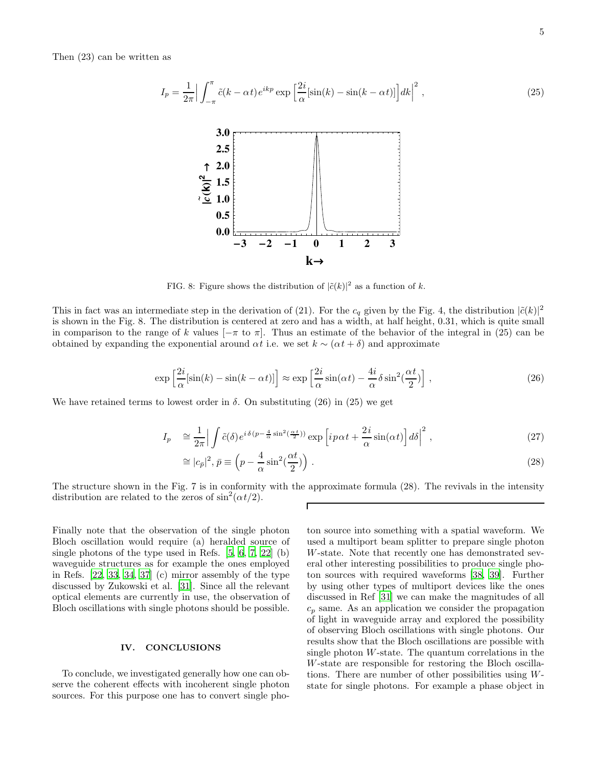Then (23) can be written as



FIG. 8: Figure shows the distribution of  $|\tilde{c}(k)|^2$  as a function of k.

This in fact was an intermediate step in the derivation of (21). For the  $c_q$  given by the Fig. 4, the distribution  $|\tilde{c}(k)|^2$ is shown in the Fig. 8. The distribution is centered at zero and has a width, at half height, 0.31, which is quite small in comparison to the range of k values  $[-\pi \text{ to } \pi]$ . Thus an estimate of the behavior of the integral in (25) can be obtained by expanding the exponential around  $\alpha t$  i.e. we set  $k \sim (\alpha t + \delta)$  and approximate

$$
\exp\left[\frac{2i}{\alpha}[\sin(k) - \sin(k - \alpha t)]\right] \approx \exp\left[\frac{2i}{\alpha}\sin(\alpha t) - \frac{4i}{\alpha}\delta\sin^2(\frac{\alpha t}{2})\right],\tag{26}
$$

We have retained terms to lowest order in  $\delta$ . On substituting (26) in (25) we get

$$
I_p \cong \frac{1}{2\pi} \Big| \int \tilde{c}(\delta) e^{i\delta(p - \frac{4}{\alpha}\sin^2(\frac{\alpha t}{2}))} \exp\left[i p \alpha t + \frac{2i}{\alpha}\sin(\alpha t)\right] d\delta \Big|^2 , \qquad (27)
$$

$$
\approx |c_{\bar{p}}|^2, \bar{p} \equiv \left(p - \frac{4}{\alpha}\sin^2(\frac{\alpha t}{2})\right). \tag{28}
$$

The structure shown in the Fig. 7 is in conformity with the approximate formula (28). The revivals in the intensity distribution are related to the zeros of  $\sin^2(\alpha t/2)$ .

Finally note that the observation of the single photon Bloch oscillation would require (a) heralded source of single photons of the type used in Refs. [\[5,](#page-5-4) [6,](#page-5-5) [7](#page-5-6), [22\]](#page-5-21) (b) waveguide structures as for example the ones employed in Refs. [\[22,](#page-5-21) [33,](#page-5-32) [34](#page-5-33), [37\]](#page-5-36) (c) mirror assembly of the type discussed by Zukowski et al. [\[31](#page-5-30)]. Since all the relevant optical elements are currently in use, the observation of Bloch oscillations with single photons should be possible.

### IV. CONCLUSIONS

To conclude, we investigated generally how one can observe the coherent effects with incoherent single photon sources. For this purpose one has to convert single photon source into something with a spatial waveform. We used a multiport beam splitter to prepare single photon W-state. Note that recently one has demonstrated several other interesting possibilities to produce single photon sources with required waveforms [\[38](#page-5-37), [39\]](#page-5-38). Further by using other types of multiport devices like the ones discussed in Ref [\[31\]](#page-5-30) we can make the magnitudes of all  $c_p$  same. As an application we consider the propagation of light in waveguide array and explored the possibility of observing Bloch oscillations with single photons. Our results show that the Bloch oscillations are possible with single photon  $W$ -state. The quantum correlations in the W-state are responsible for restoring the Bloch oscillations. There are number of other possibilities using Wstate for single photons. For example a phase object in